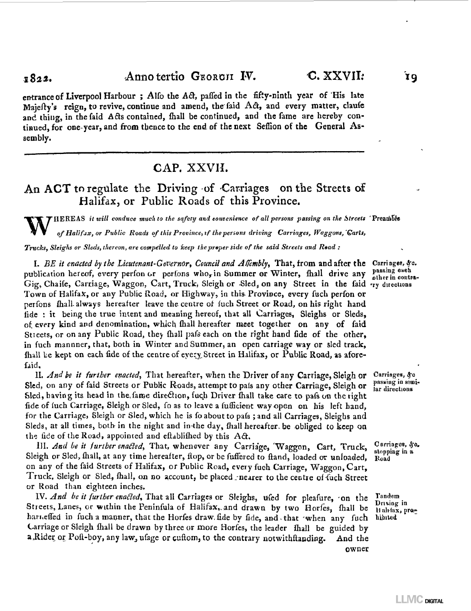### $_{1822}$ . Anno tertio GEORGII IV. C. XXVII. 19

entrance of Liverpool Harbour; Alfo the Act, paffed in the fifty-ninth year of His late Majefty's reign, to revive, continue and amend, the faid  $A\hat{\alpha}$ , and every matter, claufe and thing, in the faid Acls contained, fhall be continued, and the fame are hereby continued, for one-year, and from thence to the end ef the next Seffion of the General Assembly.

# CAP. XXVII.

# An ACT to regulate the Driving of Carriages on the Streets of Halifax, or Public Roads of this Province.

W HEREAS *it will conduce much to the safety and eonvenience of all persons passing on the Streets* 'PreamEre *of Halifax, or Public Roads of this Province, if the persons driving Carriages, Waggons,'Garts, Trucks, Sleighs or Sleds, thereon, are compelled to keep the proper side of the said Streets and Rsad :* 

I. BE it enacted by the Lieutenant-Governor, Council and Allembly, That, from and after the Carriages, &c. publication hereof, every perfon or perfons who, in Summer or Winter, fhall drive any passing each Gig, Chaife, Carriage, Waggon, Cart, Truck, Sleigh or Sled, on any Street in the faid ry directions Town of Halifax, or any Public Road, or Highway, in this» Province, every fach perfon or perfons fhall-always hereafter leave the centre of fuch Street or Road, on his right hand fide : it being the true intent and meaning hereof, that all Carriages, Sleighs or Sleds, of, every kind and denomination, which fhall hereafter meet together on any of faid Stieets, or on any Public Road, they fhall pafs each on the right hand fide of the other, in fuch mannner, that, both in Winter and Summer, an open carriage way or sled track, fhall be kept on each fide of the centre of every Street in Halifax, or Public Road, as aforefaid.

II. *And be it further enacted,* That hereafter, when the Driver of any Carriage, Sleigh or Sled, on any of faid Streets or Public Roads, attempt to pals any other Carriage, Sleigh or Sled, having its head in the,fame direction, fuch Driver fhall take care to pafs on the right fide of fuch Carriage, Sleigh or Sled, fo as to leave a fufficient way open on his left hand, for the Carriage» Sleigh or Sled, which he is fo about to pafs ; and all Carriages, Sleighs and Sleds, at all times, both in the night and in-the day, fhall hereafter, be obliged to keep on. the fide of the Road, appointed and eftablifhed by this  $A\hat{c}$ .

HI. *And be it further enabled,* That, whenever any Carriage, 'Waggon, Cart, Truck, Sleigh or Sled, fhall, at any time hereafter, flop, or be fuffered to ftand, loaded or unloaded, on any of the faid Streets of Halifax, or Public Road, every fuch Carriage, Waggon, Cart, Truck, Sleigh or Sled, fhall, oa no account, be placed ^nearer to the centre of fuch Street or Road than eighteen inches.

*TV. And be it further enacted*, That all Carriages or Sleighs, ufed for pleafure, on the Streets, Lanes, or within the Peninfula of Halifax^and drawn by two Horfes, fhall be harrieffed in fuch a manner, that the Horfes draw, fide by fide, and that 'when any fuch Carriage or Sleigh fhall be drawn by three or more Horfes, the leader fhall be guided by a Rider or Poft-boy, any law, ufage or cuftom, to the contrary notwithftanding. And the

other in contra-

Carriages,  $g_c$ passing in similar directions

Carriages, &o. stopping in a Road

Tandem Driving in Halrfax, proliibiled

owner

**LLIVIC DIGITAL**